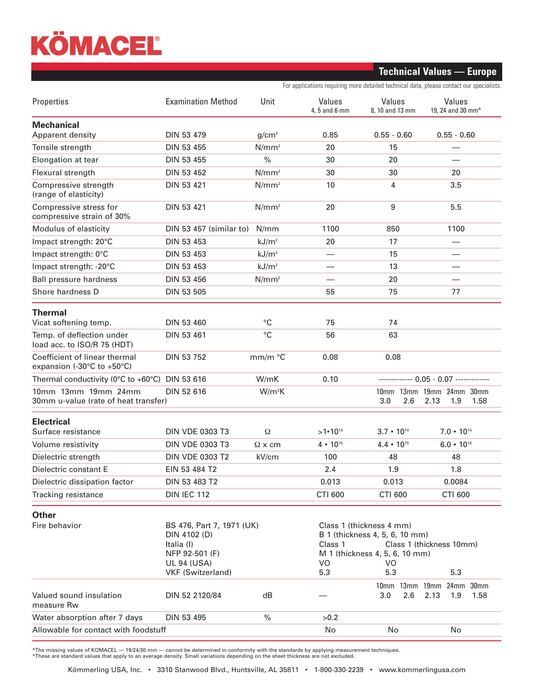## KÖMACEL

## **Technical Values — Europe**

For applications requiring more detailed technical data, please contact our specialists.

| Properties                                                                                                                                   | <b>Examination Method</b> | Unit                                                                                                                                                                 | Values<br>4, 5 and 6 mm | Values<br>8, 10 and 13 mm         | Values<br>19, 24 and 30 mm*                     |
|----------------------------------------------------------------------------------------------------------------------------------------------|---------------------------|----------------------------------------------------------------------------------------------------------------------------------------------------------------------|-------------------------|-----------------------------------|-------------------------------------------------|
| <b>Mechanical</b><br>Apparent density                                                                                                        | <b>DIN 53 479</b>         | g/cm <sup>2</sup>                                                                                                                                                    | 0.85                    | $0.55 - 0.60$                     | $0.55 - 0.60$                                   |
| Tensile strength                                                                                                                             | DIN 53 455                | $N/mm^2$                                                                                                                                                             | 20                      | 15                                |                                                 |
| Elongation at tear                                                                                                                           | DIN 53 455                | $\%$                                                                                                                                                                 | 30                      | 20                                |                                                 |
| Flexural strength                                                                                                                            | DIN 53 452                | $N/mm^2$                                                                                                                                                             | 30                      | 30                                | 20                                              |
| Compressive strength<br>(range of elasticity)                                                                                                | DIN 53 421                | $N/mm^2$                                                                                                                                                             | 10                      | 4                                 | 3.5                                             |
| Compressive stress for<br>compressive strain of 30%                                                                                          | DIN 53 421                | $N/mm^2$                                                                                                                                                             | 20                      | 9                                 | 5.5                                             |
| Modulus of elasticity                                                                                                                        | DIN 53 457 (similar to)   | N/mm                                                                                                                                                                 | 1100                    | 850                               | 1100                                            |
| Impact strength: 20°C                                                                                                                        | DIN 53 453                | kJ/m <sup>2</sup>                                                                                                                                                    | 20                      | 17                                |                                                 |
| Impact strength: 0°C                                                                                                                         | DIN 53 453                | kJ/m <sup>2</sup>                                                                                                                                                    |                         | 15                                |                                                 |
| Impact strength: -20°C                                                                                                                       | DIN 53 453                | kJ/m <sup>2</sup>                                                                                                                                                    |                         | 13                                |                                                 |
| Ball pressure hardness                                                                                                                       | DIN 53 456                | $N/mm^2$                                                                                                                                                             |                         | 20                                |                                                 |
| Shore hardness D                                                                                                                             | DIN 53 505                |                                                                                                                                                                      | 55                      | 75                                | 77                                              |
| <b>Thermal</b><br>Vicat softening temp.                                                                                                      | DIN 53 460                | $^{\circ}C$                                                                                                                                                          | 75                      | 74                                |                                                 |
| Temp. of deflection under                                                                                                                    | <b>DIN 53 461</b>         | $^{\circ}C$                                                                                                                                                          | 56                      | 63                                |                                                 |
| load acc. to ISO/R 75 (HDT)                                                                                                                  |                           |                                                                                                                                                                      |                         |                                   |                                                 |
| Coefficient of linear thermal<br>expansion (-30°C to +50°C)                                                                                  | DIN 53 752                | mm/m °C                                                                                                                                                              | 0.08                    | 0.08                              |                                                 |
| Thermal conductivity ( $0^{\circ}$ C to +60 $^{\circ}$ C)                                                                                    | DIN 53 616                | W/mK                                                                                                                                                                 | 0.10                    |                                   |                                                 |
| 10mm 13mm 19mm 24mm<br>30mm u-value (rate of heat transfer)                                                                                  | DIN 52 616                | $W/m^2K$                                                                                                                                                             |                         | 3.0<br>2.6                        | 10mm 13mm 19mm 24mm 30mm<br>2.13<br>1.9<br>1.58 |
| <b>Electrical</b>                                                                                                                            |                           |                                                                                                                                                                      |                         |                                   |                                                 |
| Surface resistance                                                                                                                           | <b>DIN VDE 0303 T3</b>    | Ω                                                                                                                                                                    | $>1.10^{14}$            | $3.7 \cdot 10^{14}$               | $7.0 \cdot 10^{14}$                             |
| Volume resistivity                                                                                                                           | <b>DIN VDE 0303 T3</b>    | $\Omega$ x cm                                                                                                                                                        | $4 \cdot 10^{15}$       | $4.4 \cdot 10^{15}$               | $6.0 \cdot 10^{15}$                             |
| Dielectric strength                                                                                                                          | <b>DIN VDE 0303 T2</b>    | kV/cm                                                                                                                                                                | 100                     | 48                                | 48                                              |
| Dielectric constant E                                                                                                                        | EIN 53 484 T2             |                                                                                                                                                                      | 2.4                     | 1.9                               | 1.8                                             |
| Dielectric dissipation factor                                                                                                                | DIN 53 483 T2             |                                                                                                                                                                      | 0.013                   | 0.013                             | 0.0084                                          |
| Tracking resistance                                                                                                                          | <b>DIN IEC 112</b>        |                                                                                                                                                                      | <b>CTI 600</b>          | <b>CTI 600</b>                    | <b>CTI 600</b>                                  |
| <b>Other</b>                                                                                                                                 |                           |                                                                                                                                                                      |                         |                                   |                                                 |
| Fire behavior<br>BS 476, Part 7, 1971 (UK)<br>DIN 4102 (D)<br>Italia (I)<br>NFP 92-501 (F)<br><b>UL 94 (USA)</b><br><b>VKF (Switzerland)</b> |                           | Class 1 (thickness 4 mm)<br>B 1 (thickness 4, 5, 6, 10 mm)<br>Class 1<br>Class 1 (thickness 10mm)<br>M 1 (thickness 4, 5, 6, 10 mm)<br>VO<br>VO<br>5.3<br>5.3<br>5.3 |                         |                                   |                                                 |
| Valued sound insulation<br>measure Rw                                                                                                        | DIN 52 2120/84            | dB                                                                                                                                                                   |                         | 10mm 13mm 19mm 24mm<br>3.0<br>2.6 | 30mm<br>2.13<br>1.9<br>1.58                     |
| Water absorption after 7 days                                                                                                                | DIN 53 495                | $\%$                                                                                                                                                                 | >0.2                    |                                   |                                                 |
| Allowable for contact with foodstuff                                                                                                         |                           |                                                                                                                                                                      | No                      | No                                | No                                              |

\*The missing values of KOMACEL — 19/24/30 mm — cannot be determined in conformity with the standards by applying measurement techniques.<br>\*These are standard values that apply to an average density. Small variations dependi